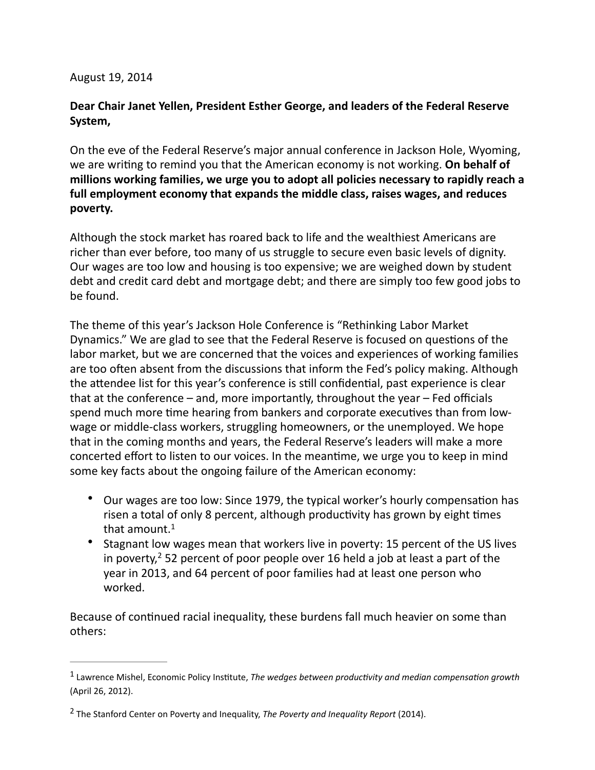## August 19, 2014

## Dear Chair Janet Yellen, President Esther George, and leaders of the Federal Reserve **System,**

On the eve of the Federal Reserve's major annual conference in Jackson Hole, Wyoming, we are writing to remind you that the American economy is not working. On behalf of millions working families, we urge you to adopt all policies necessary to rapidly reach a full employment economy that expands the middle class, raises wages, and reduces poverty.

Although the stock market has roared back to life and the wealthiest Americans are richer than ever before, too many of us struggle to secure even basic levels of dignity. Our wages are too low and housing is too expensive; we are weighed down by student debt and credit card debt and mortgage debt; and there are simply too few good jobs to be found.

The theme of this year's Jackson Hole Conference is "Rethinking Labor Market" Dynamics." We are glad to see that the Federal Reserve is focused on questions of the labor market, but we are concerned that the voices and experiences of working families are too often absent from the discussions that inform the Fed's policy making. Although the attendee list for this year's conference is still confidential, past experience is clear that at the conference  $-$  and, more importantly, throughout the year  $-$  Fed officials spend much more time hearing from bankers and corporate executives than from lowwage or middle-class workers, struggling homeowners, or the unemployed. We hope that in the coming months and years, the Federal Reserve's leaders will make a more concerted effort to listen to our voices. In the meantime, we urge you to keep in mind some key facts about the ongoing failure of the American economy:

- Our wages are too low: Since 1979, the typical worker's hourly compensation has risen a total of only 8 percent, although productivity has grown by eight times that amount. $<sup>1</sup>$ </sup>
- Stagnant low wages mean that workers live in poverty: 15 percent of the US lives in poverty,  $2$  52 percent of poor people over 16 held a job at least a part of the year in 2013, and 64 percent of poor families had at least one person who worked.

Because of continued racial inequality, these burdens fall much heavier on some than others: 

<sup>&</sup>lt;sup>1</sup> Lawrence Mishel, Economic Policy Institute, The wedges between productivity and median compensation growth (April 26, 2012).

<sup>&</sup>lt;sup>2</sup> The Stanford Center on Poverty and Inequality, *The Poverty and Inequality Report* (2014).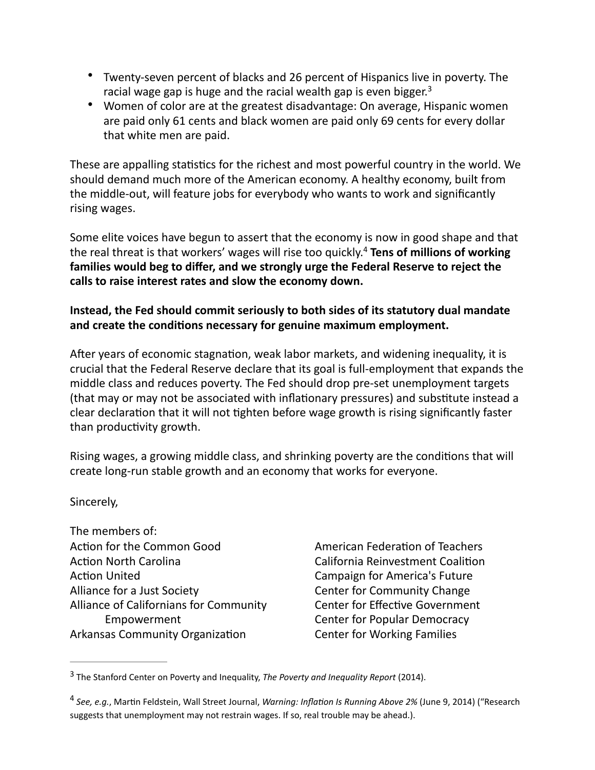- Twenty-seven percent of blacks and 26 percent of Hispanics live in poverty. The racial wage gap is huge and the racial wealth gap is even bigger.<sup>3</sup>
- Women of color are at the greatest disadvantage: On average, Hispanic women are paid only 61 cents and black women are paid only 69 cents for every dollar that white men are paid.

These are appalling statistics for the richest and most powerful country in the world. We should demand much more of the American economy. A healthy economy, built from the middle-out, will feature jobs for everybody who wants to work and significantly rising wages.

Some elite voices have begun to assert that the economy is now in good shape and that the real threat is that workers' wages will rise too quickly.<sup>4</sup> Tens of millions of working families would beg to differ, and we strongly urge the Federal Reserve to reject the calls to raise interest rates and slow the economy down.

## Instead, the Fed should commit seriously to both sides of its statutory dual mandate and create the conditions necessary for genuine maximum employment.

After years of economic stagnation, weak labor markets, and widening inequality, it is crucial that the Federal Reserve declare that its goal is full-employment that expands the middle class and reduces poverty. The Fed should drop pre-set unemployment targets (that may or may not be associated with inflationary pressures) and substitute instead a clear declaration that it will not tighten before wage growth is rising significantly faster than productivity growth.

Rising wages, a growing middle class, and shrinking poverty are the conditions that will create long-run stable growth and an economy that works for everyone.

Sincerely,

The members of: Action for the Common Good **Action North Carolina Action United** Alliance for a Just Society Alliance of Californians for Community Empowerment Arkansas Community Organization

American Federation of Teachers California Reinvestment Coalition Campaign for America's Future Center for Community Change Center for Effective Government Center for Popular Democracy Center for Working Families

<sup>&</sup>lt;sup>3</sup> The Stanford Center on Poverty and Inequality, The Poverty and Inequality Report (2014).

<sup>&</sup>lt;sup>4</sup> See, e.g., Martin Feldstein, Wall Street Journal, *Warning: Inflation Is Running Above 2%* (June 9, 2014) ("Research suggests that unemployment may not restrain wages. If so, real trouble may be ahead.).